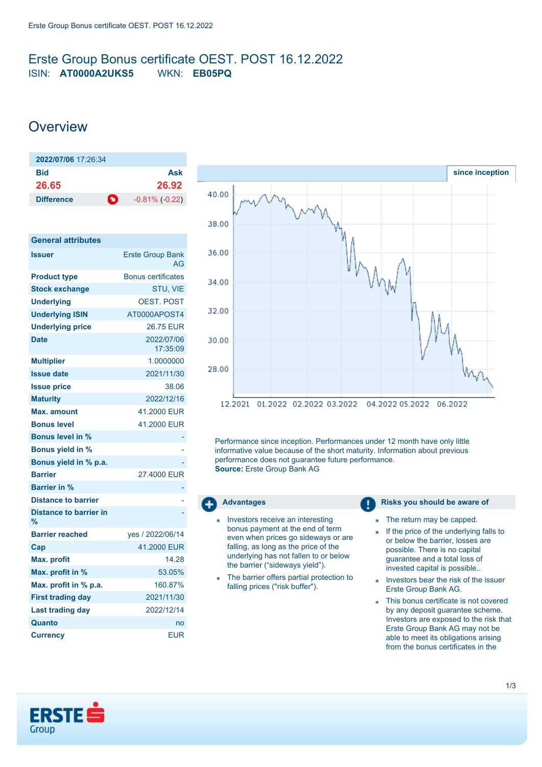## <span id="page-0-0"></span>Erste Group Bonus certificate OEST. POST 16.12.2022 ISIN: **AT0000A2UKS5** WKN: **EB05PQ**

## **Overview**

| 2022/07/06 17:26:34 |                                    |
|---------------------|------------------------------------|
| Bid                 | Ask                                |
| 26.65               | 26.92                              |
| <b>Difference</b>   | $\bullet$<br>$-0.81\%$ ( $-0.22$ ) |

| <b>General attributes</b>                      |                               |
|------------------------------------------------|-------------------------------|
| <b>Issuer</b>                                  | <b>Erste Group Bank</b><br>AG |
| <b>Product type</b>                            | <b>Bonus certificates</b>     |
| <b>Stock exchange</b>                          | STU, VIE                      |
| <b>Underlying</b>                              | <b>OEST, POST</b>             |
| <b>Underlying ISIN</b>                         | AT0000APOST4                  |
| <b>Underlying price</b>                        | 26.75 EUR                     |
| <b>Date</b>                                    | 2022/07/06<br>17:35:09        |
| <b>Multiplier</b>                              | 1.0000000                     |
| <b>Issue date</b>                              | 2021/11/30                    |
| <b>Issue price</b>                             | 38.06                         |
| <b>Maturity</b>                                | 2022/12/16                    |
| Max. amount                                    | 41.2000 EUR                   |
| <b>Bonus level</b>                             | 41.2000 EUR                   |
| <b>Bonus level in %</b>                        |                               |
| <b>Bonus yield in %</b>                        |                               |
| Bonus yield in % p.a.                          |                               |
| <b>Barrier</b>                                 | 27,4000 EUR                   |
| <b>Barrier in %</b>                            |                               |
| <b>Distance to barrier</b>                     |                               |
| <b>Distance to barrier in</b><br>$\frac{9}{6}$ |                               |
| <b>Barrier reached</b>                         | ves / 2022/06/14              |
| Cap                                            | 41.2000 EUR                   |
| <b>Max. profit</b>                             | 14.28                         |
| Max. profit in %                               | 53.05%                        |
| Max. profit in % p.a.                          | 160.87%                       |
| <b>First trading day</b>                       | 2021/11/30                    |
| <b>Last trading day</b>                        | 2022/12/14                    |
| Quanto                                         | no                            |
| Currency                                       | <b>EUR</b>                    |



Performance since inception. Performances under 12 month have only little informative value because of the short maturity. Information about previous performance does not guarantee future performance. **Source:** Erste Group Bank AG



- Investors receive an interesting bonus payment at the end of term even when prices go sideways or are falling, as long as the price of the underlying has not fallen to or below the barrier ("sideways yield").
- The barrier offers partial protection to falling prices ("risk buffer").

### **Advantages Risks** you should be aware of

- The return may be capped.
- If the price of the underlying falls to ä or below the barrier, losses are possible. There is no capital guarantee and a total loss of invested capital is possible..
- Investors bear the risk of the issuer Erste Group Bank AG.
- This bonus certificate is not covered by any deposit guarantee scheme. Investors are exposed to the risk that Erste Group Bank AG may not be able to meet its obligations arising from the bonus certificates in the

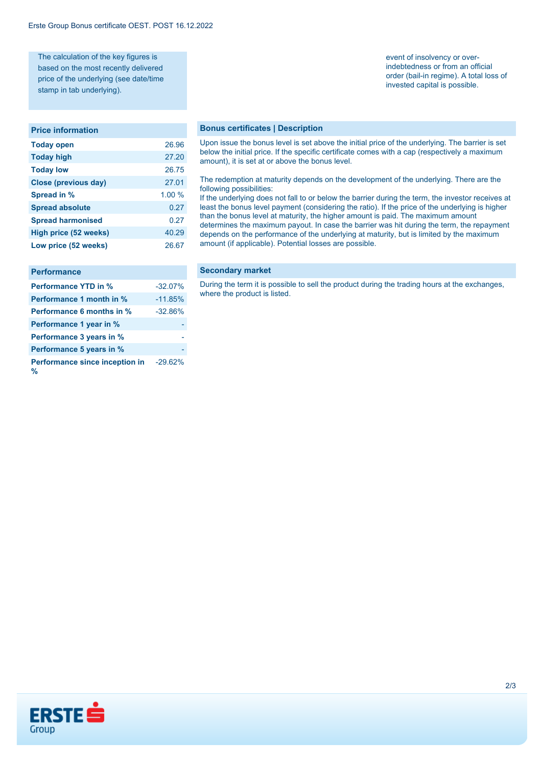The calculation of the key figures is based on the most recently delivered price of the underlying (see date/time stamp in tab underlying).

#### **Price information**

| <b>Today open</b>        | 26.96  |
|--------------------------|--------|
| <b>Today high</b>        | 27.20  |
| <b>Today low</b>         | 26.75  |
| Close (previous day)     | 27.01  |
| Spread in %              | 1.00 % |
| <b>Spread absolute</b>   | 0.27   |
| <b>Spread harmonised</b> | 0.27   |
| High price (52 weeks)    | 40.29  |
| Low price (52 weeks)     | 26.67  |

| <b>Performance</b>                  |           |
|-------------------------------------|-----------|
| <b>Performance YTD in %</b>         | $-32.07%$ |
| Performance 1 month in %            | $-11.85%$ |
| Performance 6 months in %           | $-32.86%$ |
| Performance 1 year in %             |           |
| Performance 3 years in %            |           |
| Performance 5 years in %            |           |
| Performance since inception in<br>% | $-29.62%$ |

**Bonus certificates | Description**

Upon issue the bonus level is set above the initial price of the underlying. The barrier is set below the initial price. If the specific certificate comes with a cap (respectively a maximum amount), it is set at or above the bonus level.

#### The redemption at maturity depends on the development of the underlying. There are the following possibilities:

If the underlying does not fall to or below the barrier during the term, the investor receives at least the bonus level payment (considering the ratio). If the price of the underlying is higher than the bonus level at maturity, the higher amount is paid. The maximum amount determines the maximum payout. In case the barrier was hit during the term, the repayment depends on the performance of the underlying at maturity, but is limited by the maximum amount (if applicable). Potential losses are possible.

#### **Secondary market**

During the term it is possible to sell the product during the trading hours at the exchanges, where the product is listed.

# event of insolvency or over-

indebtedness or from an official order (bail-in regime). A total loss of invested capital is possible.